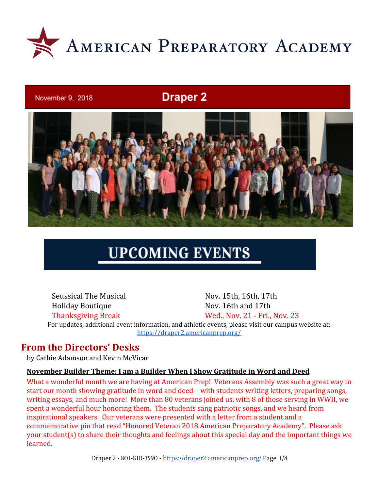

#### November 9, 2018

## **Draper 2**



# **UPCOMING EVENTS**

Seussical The Musical Nov. 15th, 16th, 17th Holiday Boutique Nov. 16th and 17th Thanksgiving Break Wed., Nov. 21 - Fri., Nov. 23 For updates, additional event information, and athletic events, please visit our campus website at: <https://draper2.americanprep.org/>

### **From the Directors' Desks**

by Cathie Adamson and Kevin McVicar

#### **November Builder Theme: I am a Builder When I Show Gratitude in Word and Deed**

What a wonderful month we are having at American Prep! Veterans Assembly was such a great way to start our month showing gratitude in word and deed – with students writing letters, preparing songs, writing essays, and much more! More than 80 veterans joined us, with 8 of those serving in WWII, we spent a wonderful hour honoring them. The students sang patriotic songs, and we heard from inspirational speakers. Our veterans were presented with a letter from a student and a commemorative pin that read "Honored Veteran 2018 American Preparatory Academy". Please ask your student(s) to share their thoughts and feelings about this special day and the important things we learned.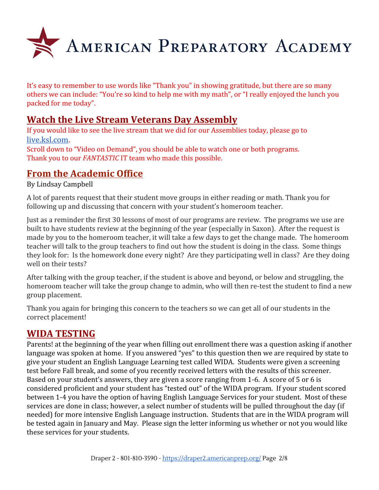

It's easy to remember to use words like "Thank you" in showing gratitude, but there are so many others we can include: "You're so kind to help me with my math", or "I really enjoyed the lunch you packed for me today".

## **Watch the Live Stream Veterans Day Assembly**

If you would like to see the live stream that we did for our Assemblies today, please go to [live.ksl.com](http://live.ksl.com/).

Scroll down to "Video on Demand", you should be able to watch one or both programs. Thank you to our *FANTASTIC* IT team who made this possible.

## **From the Academic Office**

By Lindsay Campbell

A lot of parents request that their student move groups in either reading or math. Thank you for following up and discussing that concern with your student's homeroom teacher.

Just as a reminder the first 30 lessons of most of our programs are review. The programs we use are built to have students review at the beginning of the year (especially in Saxon). After the request is made by you to the homeroom teacher, it will take a few days to get the change made. The homeroom teacher will talk to the group teachers to find out how the student is doing in the class. Some things they look for: Is the homework done every night? Are they participating well in class? Are they doing well on their tests?

After talking with the group teacher, if the student is above and beyond, or below and struggling, the homeroom teacher will take the group change to admin, who will then re-test the student to find a new group placement.

Thank you again for bringing this concern to the teachers so we can get all of our students in the correct placement!

## **WIDA TESTING**

Parents! at the beginning of the year when filling out enrollment there was a question asking if another language was spoken at home. If you answered "yes" to this question then we are required by state to give your student an English Language Learning test called WIDA. Students were given a screening test before Fall break, and some of you recently received letters with the results of this screener. Based on your student's answers, they are given a score ranging from 1-6. A score of 5 or 6 is considered proficient and your student has "tested out" of the WIDA program. If your student scored between 1-4 you have the option of having English Language Services for your student. Most of these services are done in class; however, a select number of students will be pulled throughout the day (if needed) for more intensive English Language instruction. Students that are in the WIDA program will be tested again in January and May. Please sign the letter informing us whether or not you would like these services for your students.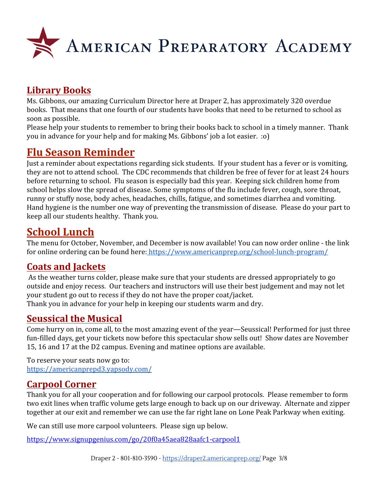

## **Library Books**

Ms. Gibbons, our amazing Curriculum Director here at Draper 2, has approximately 320 overdue books. That means that one fourth of our students have books that need to be returned to school as soon as possible.

Please help your students to remember to bring their books back to school in a timely manner. Thank you in advance for your help and for making Ms. Gibbons' job a lot easier. :o)

## **Flu Season Reminder**

Just a reminder about expectations regarding sick students. If your student has a fever or is vomiting, they are not to attend school. The CDC recommends that children be free of fever for at least 24 hours before returning to school. Flu season is especially bad this year. Keeping sick children home from school helps slow the spread of disease. Some symptoms of the flu include fever, cough, sore throat, runny or stuffy nose, body aches, headaches, chills, fatigue, and sometimes diarrhea and vomiting. Hand hygiene is the number one way of preventing the transmission of disease. Please do your part to keep all our students healthy. Thank you.

## **School Lunch**

The menu for October, November, and December is now available! You can now order online - the link for online ordering can be found here:<https://www.americanprep.org/school-lunch-program/>

## **Coats and Jackets**

As the weather turns colder, please make sure that your students are dressed appropriately to go outside and enjoy recess. Our teachers and instructors will use their best judgement and may not let your student go out to recess if they do not have the proper coat/jacket. Thank you in advance for your help in keeping our students warm and dry.

## **Seussical the Musical**

Come hurry on in, come all, to the most amazing event of the year—Seussical! Performed for just three fun-filled days, get your tickets now before this spectacular show sells out! Show dates are November 15, 16 and 17 at the D2 campus. Evening and matinee options are available.

To reserve your seats now go to: <https://americanprepd3.yapsody.com/>

## **Carpool Corner**

Thank you for all your cooperation and for following our carpool protocols. Please remember to form two exit lines when traffic volume gets large enough to back up on our driveway. Alternate and zipper together at our exit and remember we can use the far right lane on Lone Peak Parkway when exiting.

We can still use more carpool volunteers. Please sign up below.

<https://www.signupgenius.com/go/20f0a45aea828aafc1-carpool1>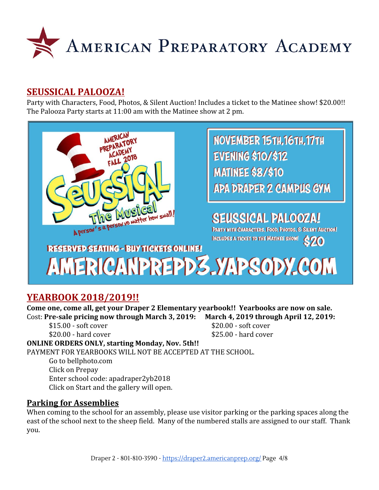

### **SEUSSICAL PALOOZA!**

Party with Characters, Food, Photos, & Silent Auction! Includes a ticket to the Matinee show! \$20.00!! The Palooza Party starts at 11:00 am with the Matinee show at 2 pm.



## **YEARBOOK 2018/2019!!**

**Come one, come all, get your Draper 2 Elementary yearbook!! Yearbooks are now on sale.** Cost: **Pre-sale pricing now through March 3, 2019: March 4, 2019 through April 12, 2019:**

 $$15.00 - soft cover$   $$20.00 - soft cover$  $$20.00$  - hard cover  $$25.00$  - hard cover

#### **ONLINE ORDERS ONLY, starting Monday, Nov. 5th!!**

PAYMENT FOR YEARBOOKS WILL NOT BE ACCEPTED AT THE SCHOOL.

Go to bellphoto.com Click on Prepay Enter school code: apadraper2yb2018 Click on Start and the gallery will open.

#### **Parking for Assemblies**

When coming to the school for an assembly, please use visitor parking or the parking spaces along the east of the school next to the sheep field. Many of the numbered stalls are assigned to our staff. Thank you.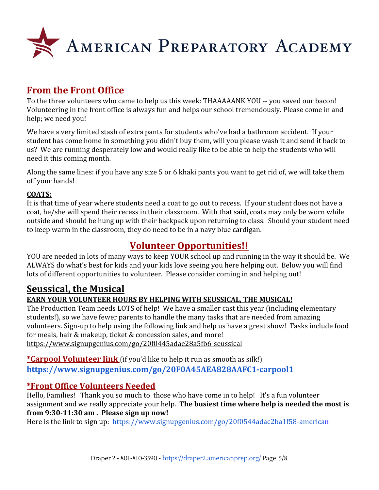![](_page_4_Picture_0.jpeg)

## **From the Front Office**

To the three volunteers who came to help us this week: THAAAAANK YOU -- you saved our bacon! Volunteering in the front office is always fun and helps our school tremendously. Please come in and help; we need you!

We have a very limited stash of extra pants for students who've had a bathroom accident. If your student has come home in something you didn't buy them, will you please wash it and send it back to us? We are running desperately low and would really like to be able to help the students who will need it this coming month.

Along the same lines: if you have any size 5 or 6 khaki pants you want to get rid of, we will take them off your hands!

#### **COATS:**

It is that time of year where students need a coat to go out to recess. If your student does not have a coat, he/she will spend their recess in their classroom. With that said, coats may only be worn while outside and should be hung up with their backpack upon returning to class. Should your student need to keep warm in the classroom, they do need to be in a navy blue cardigan.

## **Volunteer Opportunities!!**

YOU are needed in lots of many ways to keep YOUR school up and running in the way it should be. We ALWAYS do what's best for kids and your kids love seeing you here helping out. Below you will find lots of different opportunities to volunteer. Please consider coming in and helping out!

## **Seussical, the Musical**

#### **EARN YOUR VOLUNTEER HOURS BY HELPING WITH SEUSSICAL, THE MUSICAL!**

The Production Team needs LOTS of help! We have a smaller cast this year (including elementary students!), so we have fewer parents to handle the many tasks that are needed from amazing volunteers. Sign-up to help using the following link and help us have a great show! Tasks include food for meals, hair & makeup, ticket & concession sales, and more! <https://www.signupgenius.com/go/20f0445adae28a5fb6-seussical>

**\*Carpool Volunteer link** (if you'd like to help it run as smooth as silk!) **<https://www.signupgenius.com/go/20F0A45AEA828AAFC1-carpool1>**

#### **\*Front Office Volunteers Needed**

Hello, Families! Thank you so much to those who have come in to help! It's a fun volunteer assignment and we really appreciate your help. **The busiest time where help is needed the most is from 9:30-11:30 am . Please sign up now!**

Here is the link to sign up: <https://www.signupgenius.com/go/20f0544adac2ba1f58-american>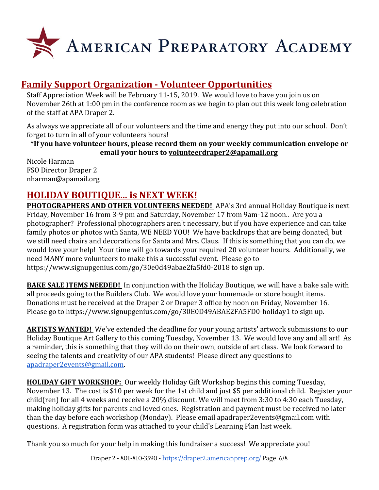![](_page_5_Picture_0.jpeg)

## **Family Support Organization - Volunteer Opportunities**

Staff Appreciation Week will be February 11-15, 2019. We would love to have you join us on November 26th at 1:00 pm in the conference room as we begin to plan out this week long celebration of the staff at APA Draper 2.

As always we appreciate all of our volunteers and the time and energy they put into our school. Don't forget to turn in all of your volunteers hours!

**\*If you have volunteer hours, please record them on your weekly communication envelope or email your hours to [volunteerdraper2@apamail.org](mailto:volunteerdraper2@apamail.org)**

Nicole Harman FSO Director Draper 2 [nharman@apamail.org](mailto:nharman@apamail.org)

## **HOLIDAY BOUTIQUE... is NEXT WEEK!**

**PHOTOGRAPHERS AND OTHER VOLUNTEERS NEEDED!** APA's 3rd annual Holiday Boutique is next Friday, November 16 from 3-9 pm and Saturday, November 17 from 9am-12 noon.. Are you a photographer? Professional photographers aren't necessary, but if you have experience and can take family photos or photos with Santa, WE NEED YOU! We have backdrops that are being donated, but we still need chairs and decorations for Santa and Mrs. Claus. If this is something that you can do, we would love your help! Your time will go towards your required 20 volunteer hours. Additionally, we need MANY more volunteers to make this a successful event. Please go to <https://www.signupgenius.com/go/30e0d49abae2fa5fd0-2018> to sign up.

**BAKE SALE ITEMS NEEDED!** In conjunction with the Holiday Boutique, we will have a bake sale with all proceeds going to the Builders Club. We would love your homemade or store bought items. Donations must be received at the Draper 2 or Draper 3 office by noon on Friday, November 16. Please go to [https://www.signupgenius.com/go/30E0D49ABAE2FA5FD0-holiday1](https://www.signupgenius.com/go/30E0D49ABAE2FA5FD0-holiday1?fbclid=IwAR1J0KlOKXaJnDW5erewBFqxeTgfjev5OXrM7pRHzNwNXAQ8BK6wWeTN9VY) to sign up.

**ARTISTS WANTED!** We've extended the deadline for your young artists' artwork submissions to our Holiday Boutique Art Gallery to this coming Tuesday, November 13. We would love any and all art! As a reminder, this is something that they will do on their own, outside of art class. We look forward to seeing the talents and creativity of our APA students! Please direct any questions to [apadraper2events@gmail.com.](mailto:apadraper2events@gmail.com)

**HOLIDAY GIFT WORKSHOP:** Our weekly Holiday Gift Workshop begins this coming Tuesday, November 13. The cost is \$10 per week for the 1st child and just \$5 per additional child. Register your child(ren) for all 4 weeks and receive a 20% discount. We will meet from 3:30 to 4:30 each Tuesday, making holiday gifts for parents and loved ones. Registration and payment must be received no later than the day before each workshop (Monday). Please email apadraper2events@gmail.com with questions. A registration form was attached to your child's Learning Plan last week.

Thank you so much for your help in making this fundraiser a success! We appreciate you!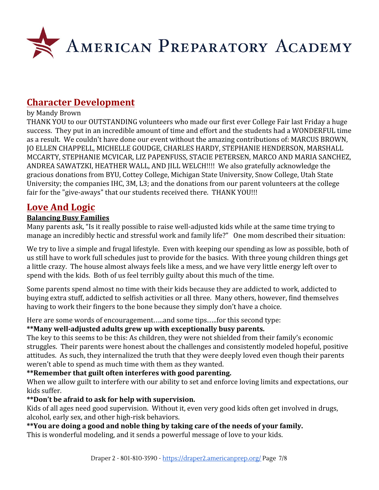![](_page_6_Picture_0.jpeg)

## **Character Development**

#### by Mandy Brown

THANK YOU to our OUTSTANDING volunteers who made our first ever College Fair last Friday a huge success. They put in an incredible amount of time and effort and the students had a WONDERFUL time as a result. We couldn't have done our event without the amazing contributions of: MARCUS BROWN, JO ELLEN CHAPPELL, MICHELLE GOUDGE, CHARLES HARDY, STEPHANIE HENDERSON, MARSHALL MCCARTY, STEPHANIE MCVICAR, LIZ PAPENFUSS, STACIE PETERSEN, MARCO AND MARIA SANCHEZ, ANDREA SAWATZKI, HEATHER WALL, AND JILL WELCH!!!! We also gratefully acknowledge the gracious donations from BYU, Cottey College, Michigan State University, Snow College, Utah State University; the companies IHC, 3M, L3; and the donations from our parent volunteers at the college fair for the "give-aways" that our students received there. THANK YOU!!!

## **Love And Logic**

#### **Balancing Busy Families**

Many parents ask, "Is it really possible to raise well-adjusted kids while at the same time trying to manage an incredibly hectic and stressful work and family life?" One mom described their situation:

We try to live a simple and frugal lifestyle. Even with keeping our spending as low as possible, both of us still have to work full schedules just to provide for the basics. With three young children things get a little crazy. The house almost always feels like a mess, and we have very little energy left over to spend with the kids. Both of us feel terribly guilty about this much of the time.

Some parents spend almost no time with their kids because they are addicted to work, addicted to buying extra stuff, addicted to selfish activities or all three. Many others, however, find themselves having to work their fingers to the bone because they simply don't have a choice.

Here are some words of encouragement…..and some tips…..for this second type:

#### **\*\*Many well-adjusted adults grew up with exceptionally busy parents.**

The key to this seems to be this: As children, they were not shielded from their family's economic struggles. Their parents were honest about the challenges and consistently modeled hopeful, positive attitudes. As such, they internalized the truth that they were deeply loved even though their parents weren't able to spend as much time with them as they wanted.

#### **\*\*Remember that guilt often interferes with good parenting.**

When we allow guilt to interfere with our ability to set and enforce loving limits and expectations, our kids suffer.

#### **\*\*Don't be afraid to ask for help with supervision.**

Kids of all ages need good supervision. Without it, even very good kids often get involved in drugs, alcohol, early sex, and other high-risk behaviors.

#### **\*\*You are doing a good and noble thing by taking care of the needs of your family.**

This is wonderful modeling, and it sends a powerful message of love to your kids.